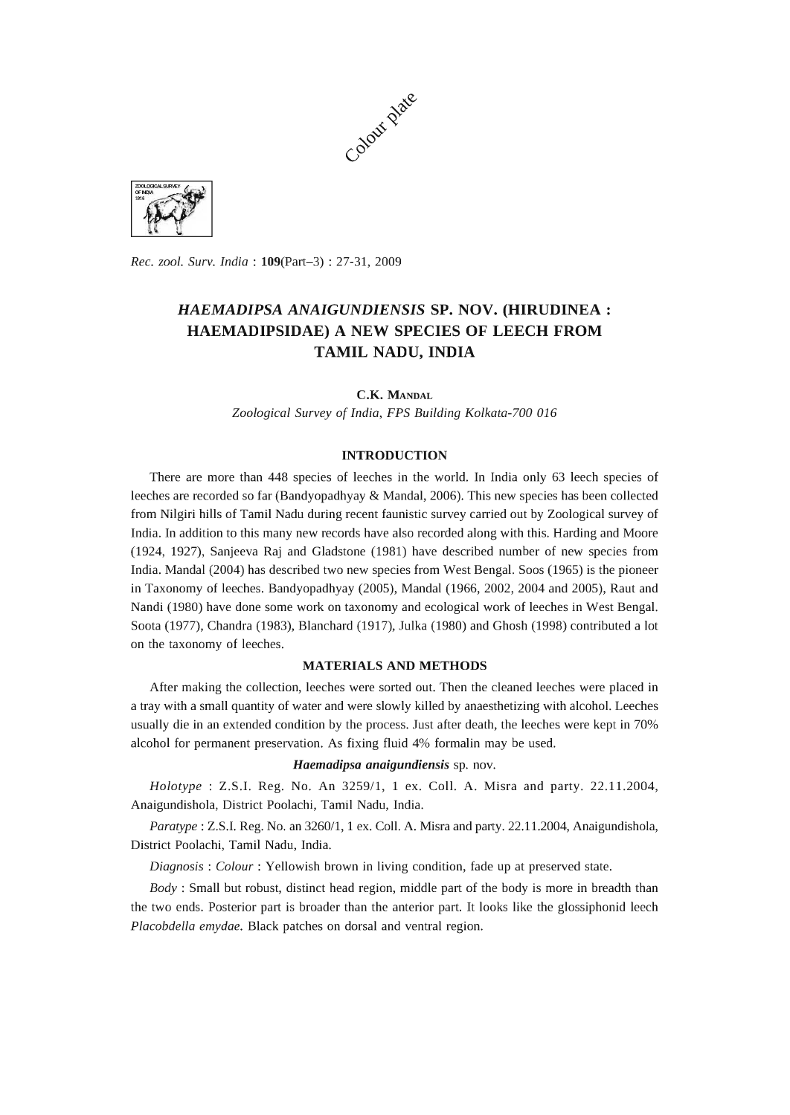



*Rec. zool. Surv. India:* 109(Part-3) : 27-31, 2009

# *HAEMADIPSA ANAIGUNDIENSIS* SP. NOV. (HIRUDINEA: HAEMADIPSIDAE) A NEW SPECIES OF LEECH FROM TAMIL NADU, INDIA

C.K. MANDAL

*Zoological Survey* of *India, FPS Building Kolkata-700 016* 

## INTRODUCTION

There are more than 448 species of leeches in the world. In India only 63 leech species of leeches are recorded so far (Bandyopadhyay & MandaI, 2006). This new species has been collected from Nilgiri hills of Tamil Nadu during recent faunistic survey carried out by Zoological survey of India. In addition to this many new records have also recorded along with this. Harding and Moore (1924, 1927), Sanjeeva Raj and Gladstone (1981) have described number of new species from India. Mandal (2004) has described two new species from West Bengal. Soos (1965) is the pioneer in Taxonomy of leeches. Bandyopadhyay (2005), MandaI (1966, 2002, 2004 and 2005), Raut and Nandi (1980) have done some work on taxonomy and ecological work of leeches in West Bengal. Soota (1977), Chandra (1983), Blanchard (1917), Julka (1980) and Ghosh (1998) contributed a lot on the taxonomy of leeches.

# MATERIALS AND METHODS

After making the collection, leeches were sorted out. Then the cleaned leeches were placed in a tray with a small quantity of water and were slowly killed by anaesthetizing with alcohol. Leeches usually die in an extended condition by the process. Just after death, the leeches were kept in 70% alcohol for permanent preservation. As fixing fluid 4% formalin may be used.

#### *Haemadipsa anaigundiensis* sp. nov.

*Holotype* : Z.S.I. Reg. No. An *3259/1,* 1 ex. ColI. A. Misra and party. 22.11.2004, Anaigundishola, District Poolachi, Tamil Nadu, India.

*Paratype:* Z.S'!. Reg. No. an *3260/1,* 1 ex. ColI. A. Misra and party. 22.11.2004, Anaigundishola, District Poolachi, Tamil Nadu, India.

*Diagnosis: Colour:* Yellowish brown in living condition, fade up at preserved state.

*Body:* Small but robust, distinct head region, middle part of the body is more in breadth than the two ends. Posterior part is broader than the anterior part. It looks like the glossiphonid leech *Placobdella emydae.* Black patches on dorsal and ventral region.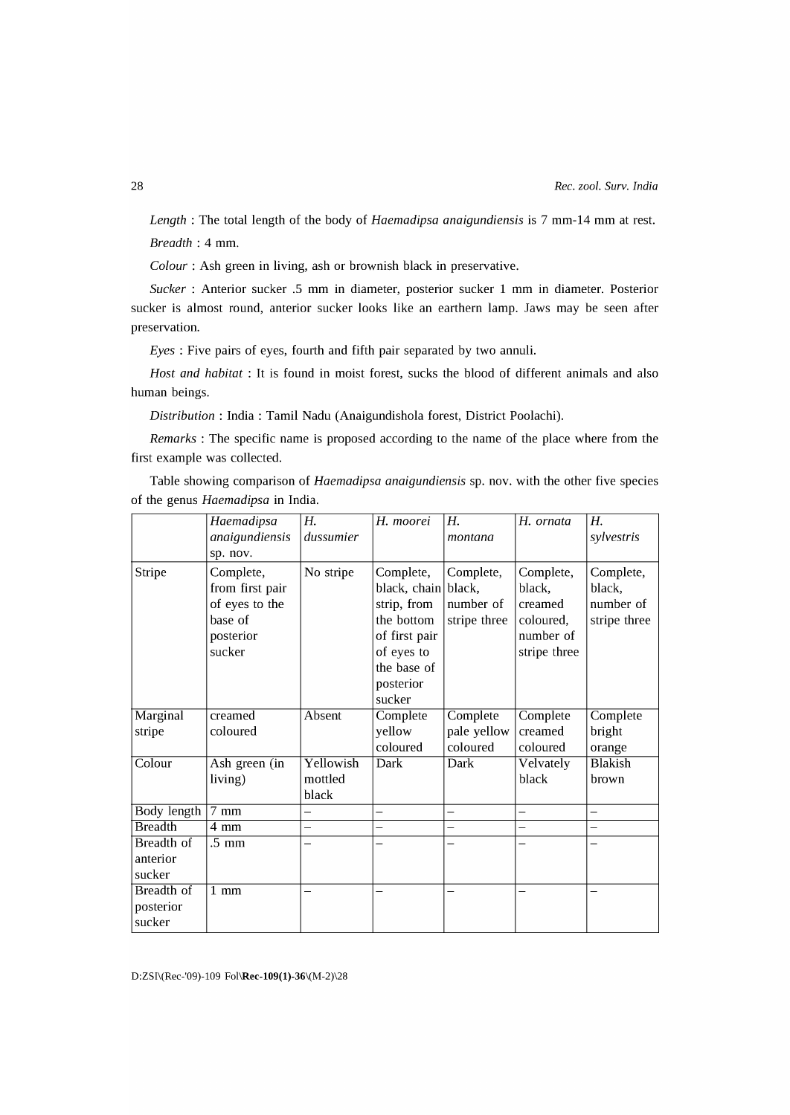*Length* : The total length of the body of *Haemadipsa anaigundiensis* is 7 mm-14 mm at rest. *Breadth* : 4 mm.

*Colour:* Ash green in living, ash or brownish black in preservative.

*Sucker* : Anterior sucker .5 mm in diameter, posterior sucker 1 mm in diameter. Posterior sucker is almost round, anterior sucker looks like an earthern lamp. Jaws may be seen after preservation.

*Eyes* : Five pairs of eyes, fourth and fifth pair separated by two annuli.

*Host and habitat* : It is found in moist forest, sucks the blood of different animals and also human beings.

*Distribution:* India: Tamil Nadu (Anaigundishola forest, District Poolachi).

*Remarks* : The specific name is proposed according to the name of the place where from the first example was collected.

Table showing comparison of *Haemadipsa anaigundiensis* sp. nov. with the other five species of the genus *Haemadipsa* in India.

|                    | Haemadipsa         | Н.        | H. moorei                | H.                       | H. ornata                | Н.                       |
|--------------------|--------------------|-----------|--------------------------|--------------------------|--------------------------|--------------------------|
|                    | anaigundiensis     | dussumier |                          | montana                  |                          | sylvestris               |
|                    | sp. nov.           |           |                          |                          |                          |                          |
| Stripe             | Complete,          | No stripe | Complete,                | Complete,                | Complete,                | Complete,                |
|                    | from first pair    |           | black, chain             | black,                   | black,                   | black,                   |
|                    | of eyes to the     |           | strip, from              | number of                | creamed                  | number of                |
|                    | base of            |           | the bottom               | stripe three             | coloured,                | stripe three             |
|                    | posterior          |           | of first pair            |                          | number of                |                          |
|                    | sucker             |           | of eyes to               |                          | stripe three             |                          |
|                    |                    |           | the base of              |                          |                          |                          |
|                    |                    |           | posterior                |                          |                          |                          |
|                    |                    |           | sucker                   |                          |                          |                          |
| <b>Marginal</b>    | creamed            | Absent    | Complete                 | Complete                 | Complete                 | Complete                 |
| stripe             | coloured           |           | yellow                   | pale yellow              | creamed                  | bright                   |
|                    |                    |           | coloured                 | coloured                 | coloured                 | orange                   |
| Colour             | Ash green (in      | Yellowish | Dark                     | <b>Dark</b>              | Velvately                | <b>Blakish</b>           |
|                    | living)            | mottled   |                          |                          | black                    | brown                    |
|                    |                    | black     |                          |                          |                          |                          |
| <b>Body length</b> | $\overline{7}$ mm  |           | $\overline{\phantom{0}}$ | $\overline{\phantom{0}}$ | —                        | —                        |
| <b>Breadth</b>     | 4 mm               |           | $\overline{\phantom{0}}$ | -                        | -                        | $\overline{\phantom{0}}$ |
| <b>Breadth of</b>  | $\overline{.5}$ mm |           |                          |                          | $\overline{\phantom{0}}$ | —                        |
| anterior           |                    |           |                          |                          |                          |                          |
| sucker             |                    |           |                          |                          |                          |                          |
| <b>Breadth</b> of  | $1 \text{ mm}$     |           |                          |                          |                          | -                        |
| posterior          |                    |           |                          |                          |                          |                          |
| sucker             |                    |           |                          |                          |                          |                          |

D:ZSI\(Rec-'09)-109 Fol\Rec-109(1)-36\(M-2)\28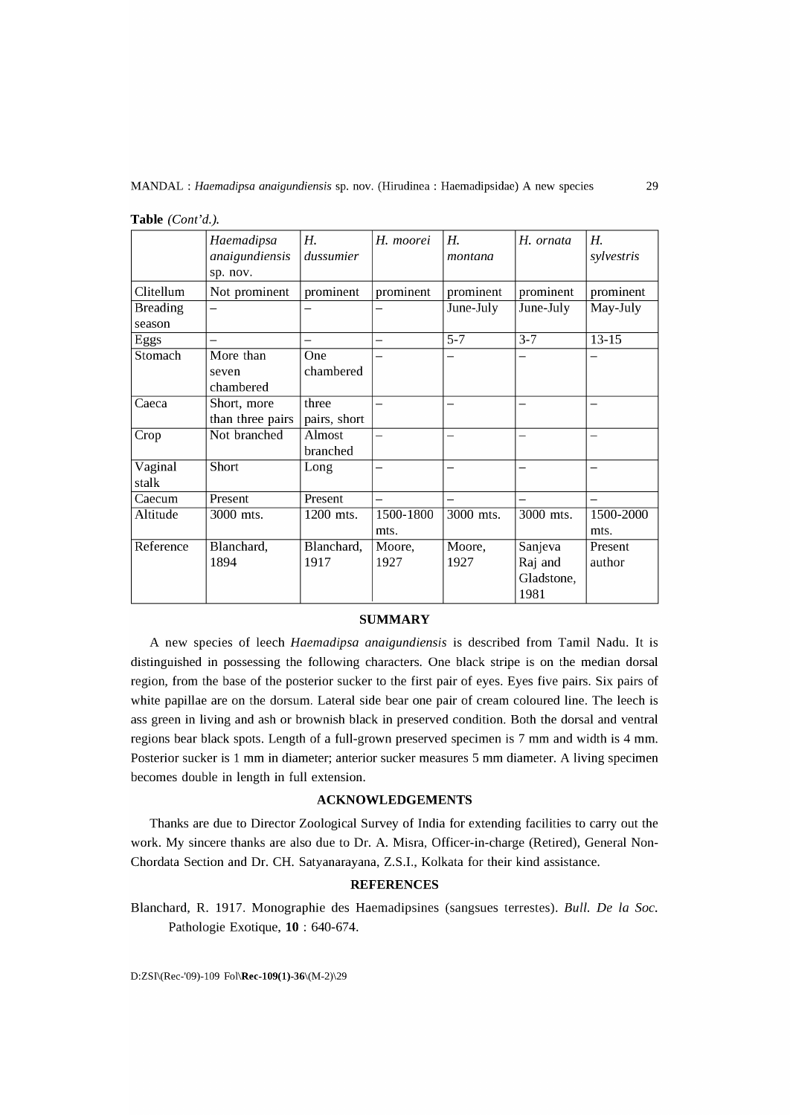|                 | Haemadipsa<br>anaigundiensis<br>sp. nov. | Н.<br>dussumier          | H. moorei | Н.<br>montana | H. ornata  | H.<br>sylvestris |
|-----------------|------------------------------------------|--------------------------|-----------|---------------|------------|------------------|
| Clitellum       | Not prominent                            | prominent                | prominent | prominent     | prominent  | prominent        |
| <b>Breading</b> |                                          |                          |           | June-July     | June-July  | May-July         |
| season          |                                          |                          |           |               |            |                  |
| Eggs            |                                          | $\overline{\phantom{0}}$ | -         | $5 - 7$       | $3 - 7$    | 13-15            |
| Stomach         | More than                                | One                      |           |               |            |                  |
|                 | seven                                    | chambered                |           |               |            |                  |
|                 | chambered                                |                          |           |               |            |                  |
| Caeca           | Short, more                              | three                    |           |               |            |                  |
|                 | than three pairs                         | pairs, short             |           |               |            |                  |
| Crop            | Not branched                             | Almost                   |           |               | -          | —                |
|                 |                                          | branched                 |           |               |            |                  |
| Vaginal         | <b>Short</b>                             | Long                     |           |               |            |                  |
| stalk           |                                          |                          |           |               |            |                  |
| Caecum          | Present                                  | Present                  |           |               |            |                  |
| Altitude        | 3000 mts.                                | $\overline{1200}$ mts.   | 1500-1800 | 3000 mts.     | 3000 mts.  | 1500-2000        |
|                 |                                          |                          | mts.      |               |            | mts.             |
| Reference       | Blanchard,                               | Blanchard,               | Moore,    | Moore,        | Sanjeva    | Present          |
|                 | 1894                                     | 1917                     | 1927      | 1927          | Raj and    | author           |
|                 |                                          |                          |           |               | Gladstone, |                  |
|                 |                                          |                          |           |               | 1981       |                  |

| Table (Cont'd.). |  |  |
|------------------|--|--|
|------------------|--|--|

#### **SUMMARY**

A new species of leech *Haemadipsa anaigundiensis* is described from Tamil Nadu. It is distinguished in possessing the following characters. One black stripe is on the median dorsal region, from the base of the posterior sucker to the first pair of eyes. Eyes five pairs. Six pairs of white papillae are on the dorsum. Lateral side bear one pair of cream coloured line. The leech is ass green in living and ash or brownish black in preserved condition. Both the dorsal and ventral regions bear black spots. Length of a full-grown preserved specimen is 7 mm and width is 4 mm. Posterior sucker is 1 mm in diameter; anterior sucker measures 5 mm diameter. A living specimen becomes double in length in full extension.

## **ACKNOWLEDGEMENTS**

Thanks are due to Director Zoological Survey of India for extending facilities to carry out the work. My sincere thanks are also due to Dr. A. Misra, Officer-in-charge (Retired), General Non-Chordata Section and Dr. CH. Satyanarayana, Z.S.!., Kolkata for their kind assistance.

# **REFERENCES**

Blanchard, R. 1917. Monographie des Haemadipsines (sangsues terrestes). *Bull.* De *la Soc.*  Pathologie Exotique, **10** : 640-674.

D:ZSI\(Rec-'09)-109 Fol\Rec-109(1)-36\(M-2)\29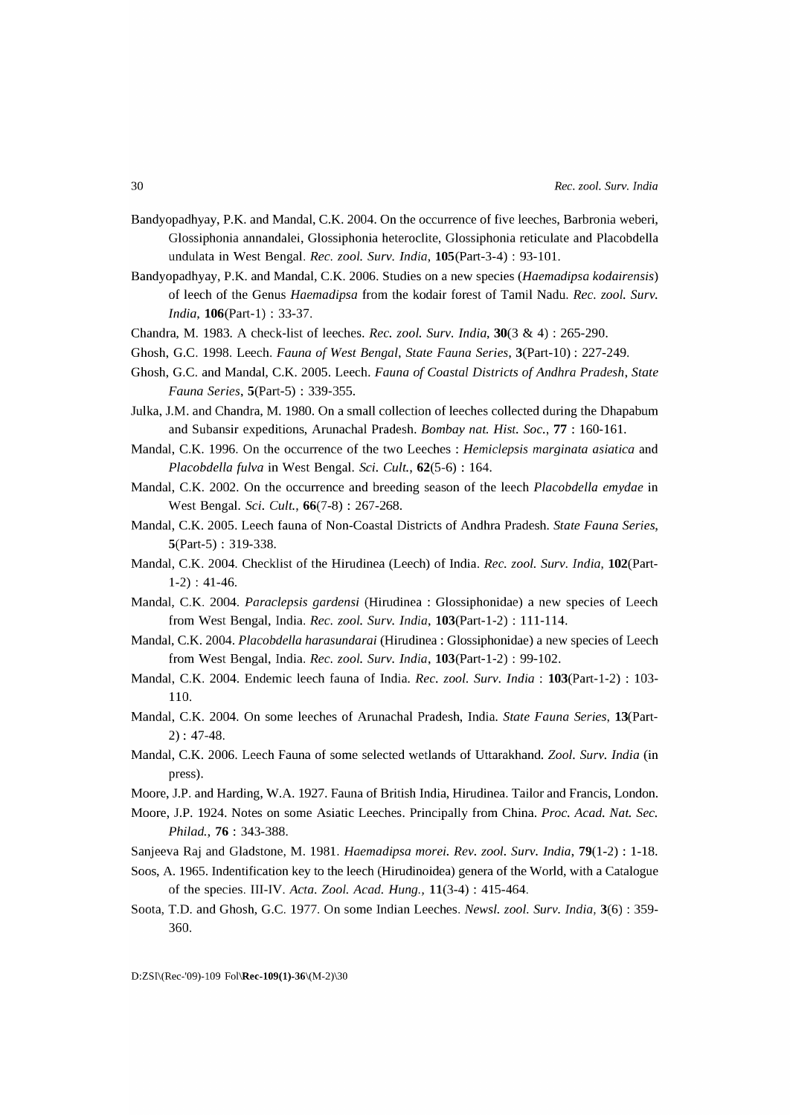- Bandyopadhyay, P.K. and Mandal, C.K. 2004. On the occurrence of five leeches, Barbronia weberi, Glossiphonia annandalei, Glossiphonia heteroclite, Glossiphonia reticulate and Placobdella undulata in West Bengal. *Rec. zool. Surv. India,* 105(Part-3-4) : 93-10l.
- Bandyopadhyay, P.K. and MandaI, C.K. 2006. Studies on a new species *(Haemadipsa kodairensis)*  of leech of the Genus *Haemadipsa* from the kodair forest of Tamil Nadu. *Rec. zool. Surv. India,* 106(Part-1) : 33-37.
- Chandra, M. 1983. A check-list of leeches. *Rec. zool. Surv. India,* 30(3 & 4) : 265-290.
- Ghosh, G.C. 1998. Leech. *Fauna* of *West Bengal, State Fauna Series,* 3(Part-10) : 227-249.
- Ghosh, G.c. and MandaI, C.K. 2005. Leech. *Fauna* of *Coastal Districts* of *Andhra Pradesh, State Fauna Series,* 5(Part-5) : 339-355.
- Julka, J.M. and Chandra, M. 1980. On a small collection of leeches collected during the Dhapabum and Subansir expeditions, Arunachal Pradesh. *Bombay nat. Hist. Soc.,* 77 : 160-16l.
- MandaI, C.K. 1996. On the occurrence of the two Leeches : *Hemiclepsis marginata asiatica* and *Placobdella fulva* in West Bengal. *Sci. Cult.,* 62(5-6) : 164.
- MandaI, C.K. 2002. On the occurrence and breeding season of the leech *Placobdella emydae* in West Bengal. *Sci. Cult.,* 66(7-8) : 267-268.
- MandaI, C.K. 2005. Leech fauna of Non-Coastal Districts of Andhra Pradesh. *State Fauna Series,*  5(Part-5) : 319-338.
- MandaI, C.K. 2004. Checklist of the Hirudinea (Leech) of India. *Rec. zool. Surv. India,* 102(Part-1-2) : 41-46.
- MandaI, C.K. 2004. *Paraclepsis gardensi* (Hirudinea: Glossiphonidae) a new species of Leech from West Bengal, India. *Rec. zool. Surv. India,* 103(Part-1-2) : 111-114.
- MandaI, C.K. 2004. *Placobdella harasundarai* (Hirudinea: Glossiphonidae) a new species of Leech from West Bengal, India. *Rec. zool. Surv. India,* 103(Part-1-2) : 99-102.
- MandaI, C.K. 2004. Endemic leech fauna of India. *Rec. zool. Surv. India:* 103(Part-1-2) : 103- 110.
- MandaI, C.K. 2004. On some leeches of Arunachal Pradesh, India. *State Fauna Series,* 13(Part-2) : 47-48.
- MandaI, C.K. 2006. Leech Fauna of some selected wetlands of Uttarakhand. *Zool. Surv. India* (in press).
- Moore, J.P. and Harding, W.A. 1927. Fauna of British India, Hirudinea. Tailor and Francis, London.
- Moore, J.P. 1924. Notes on some Asiatic Leeches. Principally from China. *Proc. Acad. Nat. Sec. Philad.,* 76 : 343-388.
- Sanjeeva Raj and Gladstone, M. 1981. *Haemadipsa morei. Rev. zool. Surv. India,* 79(1-2) : 1-18.
- Soos, A. 1965. Indentification key to the leech (Hirudinoidea) genera of the World, with a Catalogue of the species. III-IV. *Acta. Zool. Acad. Hung.,* 11(3-4) : 415-464.
- Soota, T.D. and Ghosh, G.c. 1977. On some Indian Leeches. *News* I. *zool. Surv. India,* 3(6) : 359- 360.

D:ZSI\(Rec-'09)-109 Fol\Rec-109(1)-36\(M-2)\30